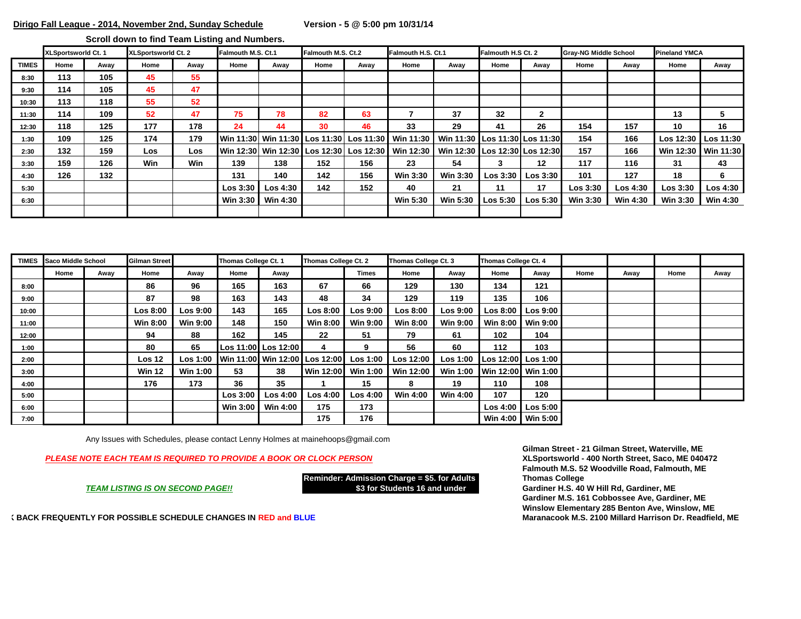**Scroll down to find Team Listing and Numbers.** 

|              | XLSportsworld Ct. 1 |      | XLSportsworld Ct. 2 |      | Falmouth M.S. Ct.1 |                     | Falmouth M.S. Ct.2 |      | Falmouth H.S. Ct.1                                                                           |                 | Falmouth H.S Ct. 2  |                  | <b>Gray-NG Middle School</b> |                 | <b>Pineland YMCA</b> |                     |
|--------------|---------------------|------|---------------------|------|--------------------|---------------------|--------------------|------|----------------------------------------------------------------------------------------------|-----------------|---------------------|------------------|------------------------------|-----------------|----------------------|---------------------|
| <b>TIMES</b> | Home                | Away | Home                | Away | Home               | Away                | Home               | Away | Home                                                                                         | Away            | Home                | Away             | Home                         | Awav            | Home                 | Away                |
| 8:30         | 113                 | 105  | 45                  | 55   |                    |                     |                    |      |                                                                                              |                 |                     |                  |                              |                 |                      |                     |
| 9:30         | 114                 | 105  | 45                  | 47   |                    |                     |                    |      |                                                                                              |                 |                     |                  |                              |                 |                      |                     |
| 10:30        | 113                 | 118  | 55                  | 52   |                    |                     |                    |      |                                                                                              |                 |                     |                  |                              |                 |                      |                     |
| 11:30        | 114                 | 109  | 52                  | 47   | 75                 | 78                  | 82                 | 63   |                                                                                              | 37              | 32                  | $\mathbf{2}$     |                              |                 | 13                   | 5                   |
| 12:30        | 118                 | 125  | 177                 | 178  | 24                 | 44                  | 30                 | 46   | 33                                                                                           | 29              | 41                  | 26               | 154                          | 157             | 10                   | 16                  |
| 1:30         | 109                 | 125  | 174                 | 179  |                    |                     |                    |      | Win 11:30  Win 11:30   Los 11:30   Los 11:30   Win 11:30   Win 11:30   Los 11:30   Los 11:30 |                 |                     |                  | 154                          | 166             | Los 12:30 Los 11:30  |                     |
| 2:30         | 132                 | 159  | Los                 | Los  |                    |                     |                    |      | Win 12:30∣ Win 12:30   Los 12:30 ∣ Los 12:30   Win 12:30 ∣ Win 12:30   Los 12:30∣ Los 12:30  |                 |                     |                  | 157                          | 166             |                      | Win 12:30 Win 11:30 |
| 3:30         | 159                 | 126  | Win                 | Win  | 139                | 138                 | 152                | 156  | 23                                                                                           | 54              | 3                   | $12 \,$          | 117                          | 116             | 31                   | 43                  |
| 4:30         | 126                 | 132  |                     |      | 131                | 140                 | 142                | 156  | <b>Win 3:30</b>                                                                              | <b>Win 3:30</b> | Los 3:30            | Los 3:30 $\vert$ | 101                          | 127             | 18                   | 6                   |
| 5:30         |                     |      |                     |      | Los 3:30           | Los 4:30            | 142                | 152  | 40                                                                                           | 21              | 11                  | 17               | Los 3:30                     | Los 4:30        | Los 3:30             | Los 4:30            |
| 6:30         |                     |      |                     |      |                    | Win $3:30$ Win 4:30 |                    |      | <b>Win 5:30</b>                                                                              | <b>Win 5:30</b> | $\textsf{Los}~5:30$ | Los 5:30 $\vert$ | <b>Win 3:30</b>              | <b>Win 4:30</b> | <b>Win 3:30</b>      | Win 4:30            |
|              |                     |      |                     |      |                    |                     |                    |      |                                                                                              |                 |                     |                  |                              |                 |                      |                     |

|       | <b>TIMES</b> Saco Middle School |      | Gilman Street     |                 | Thomas College Ct. 1 |                                        | Thomas College Ct. 2 |                     | Thomas College Ct. 3 |                 | Thomas College Ct. 4        |           |      |      |      |      |
|-------|---------------------------------|------|-------------------|-----------------|----------------------|----------------------------------------|----------------------|---------------------|----------------------|-----------------|-----------------------------|-----------|------|------|------|------|
|       | Home                            | Away | Home              | Away            | Home                 | Away                                   |                      | Times               | Home                 | Away            | Home                        | Away      | Home | Away | Home | Away |
| 8:00  |                                 |      | 86                | 96              | 165                  | 163                                    | 67                   | 66                  | 129                  | 130             | 134                         | 121       |      |      |      |      |
| 9:00  |                                 |      | 87                | 98              | 163                  | 143                                    | 48                   | 34                  | 129                  | 119             | 135                         | 106       |      |      |      |      |
| 10:00 |                                 |      | Los 8:00          | Los 9:00        | 143                  | 165                                    | <b>Los 8:00</b>      | Los 9:00            | <b>Los 8:00</b>      | Los 9:00        | Los 8:00 $\blacksquare$     | Loss 9:00 |      |      |      |      |
| 11:00 |                                 |      | <b>Win 8:00</b>   | <b>Win 9:00</b> | 148                  | 150                                    | Win 8:00             | <b>Win 9:00</b>     | <b>Win 8:00</b>      | <b>Win 9:00</b> | Win 8:00                    | Win 9:00  |      |      |      |      |
| 12:00 |                                 |      | 94                | 88              | 162                  | 145                                    | 22                   | 51                  | 79                   | 61              | 102                         | 104       |      |      |      |      |
| 1:00  |                                 |      | 80                | 65              |                      | Los 11:00 Los 12:00                    | 4                    | 9                   | 56                   | 60              | 112                         | 103       |      |      |      |      |
| 2:00  |                                 |      | Los <sub>12</sub> |                 |                      | Los 1:00 Win 11:00 Win 12:00 Los 12:00 |                      | Los <sub>1:00</sub> | Los 12:00            |                 | Los 1:00 Los 12:00 Los 1:00 |           |      |      |      |      |
| 3:00  |                                 |      | <b>Win 12</b>     | Win 1:00        | 53                   | 38                                     | Win 12:00            | <b>Win 1:00</b>     | Win 12:00            |                 | Win 1:00 Win 12:00 Win 1:00 |           |      |      |      |      |
| 4:00  |                                 |      | 176               | 173             | 36                   | 35                                     |                      | 15                  | 8                    | 19              | 110                         | 108       |      |      |      |      |
| 5:00  |                                 |      |                   |                 | Los 3:00             | Los <sub>4:00</sub>                    | $\textsf{Los }4:00$  | Los 4:00            | Win 4:00             | <b>Win 4:00</b> | 107                         | 120       |      |      |      |      |
| 6:00  |                                 |      |                   |                 | <b>Win 3:00</b>      | Win 4:00                               | 175                  | 173                 |                      |                 | Los 4:00                    | Loss 5:00 |      |      |      |      |
| 7:00  |                                 |      |                   |                 |                      |                                        | 175                  | 176                 |                      |                 | Win 4:00                    | Win 5:00  |      |      |      |      |

Any Issues with Schedules, please contact Lenny Holmes at mainehoops@gmail.com

*PLEASE NOTE EACH TEAM IS REQUIRED TO PROVIDE A BOOK OR CLOCK PERSON* **XLSportsworld - 400 North Street, Saco, ME 040472**

**Reminder: Admission Charge = \$5. for Adults Thomas College** *TEAM LISTING IS ON SECOND PAGE!!* **\$3 for Students 16 and under Gardiner H.S. 40 W Hill Rd, Gardiner, ME**

**Gilman Street - 21 Gilman Street, Waterville, ME Falmouth M.S. 52 Woodville Road, Falmouth, ME**

**Gardiner M.S. 161 Cobbossee Ave, Gardiner, ME Winslow Elementary 285 Benton Ave, Winslow, ME**

**CHECK FREQUENTLY FOR POSSIBLE SCHEDULE CHANGES IN RED and BLUE Maranacook M.S. 2100 Millard Harrison Dr. Readfield, ME**